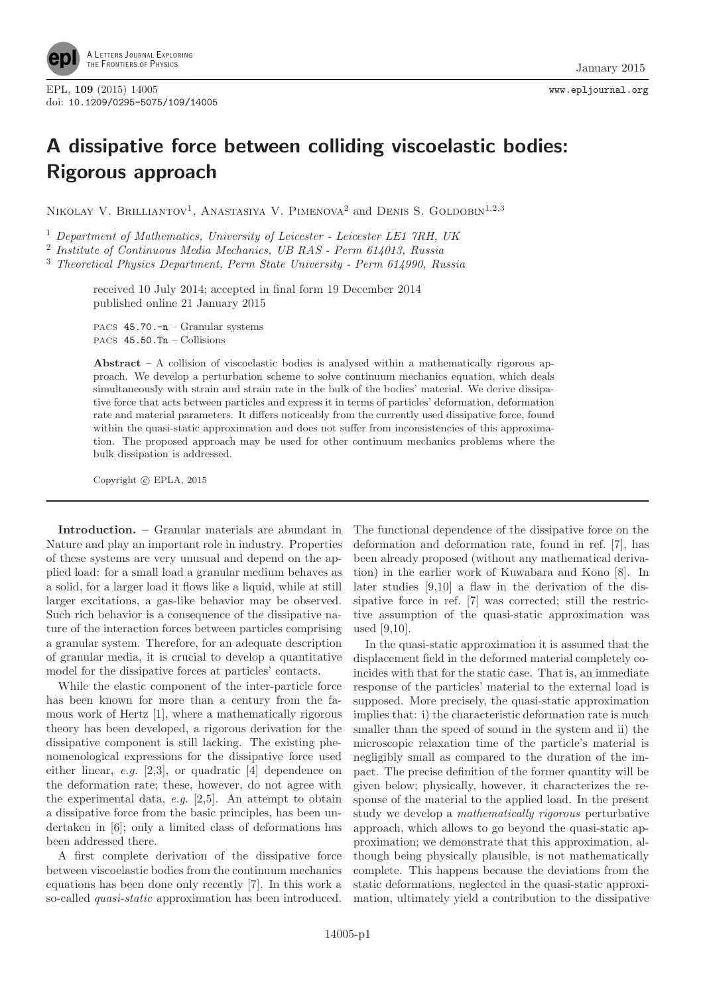

## A dissipative force between colliding viscoelastic bodies: Rigorous approach

NIKOLAY V. BRILLIANTOV<sup>1</sup>, ANASTASIYA V. PIMENOVA<sup>2</sup> and DENIS S. GOLDOBIN<sup>1,2,3</sup>

<sup>1</sup> Department of Mathematics, University of Leicester - Leicester LE1 7RH, UK

<sup>2</sup> Institute of Continuous Media Mechanics, UB RAS - Perm 614013, Russia

<sup>3</sup> Theoretical Physics Department, Perm State University - Perm 614990, Russia

received 10 July 2014; accepted in final form 19 December 2014 published online 21 January 2015

PACS 45.70.-n – Granular systems PACS 45.50.Tn – Collisions

Abstract – A collision of viscoelastic bodies is analysed within a mathematically rigorous approach. We develop a perturbation scheme to solve continuum mechanics equation, which deals simultaneously with strain and strain rate in the bulk of the bodies' material. We derive dissipative force that acts between particles and express it in terms of particles' deformation, deformation rate and material parameters. It differs noticeably from the currently used dissipative force, found within the quasi-static approximation and does not suffer from inconsistencies of this approximation. The proposed approach may be used for other continuum mechanics problems where the bulk dissipation is addressed.

Copyright  $\odot$  EPLA, 2015

Introduction. – Granular materials are abundant in Nature and play an important role in industry. Properties of these systems are very unusual and depend on the applied load: for a small load a granular medium behaves as a solid, for a larger load it flows like a liquid, while at still larger excitations, a gas-like behavior may be observed. Such rich behavior is a consequence of the dissipative nature of the interaction forces between particles comprising a granular system. Therefore, for an adequate description of granular media, it is crucial to develop a quantitative model for the dissipative forces at particles' contacts.

While the elastic component of the inter-particle force has been known for more than a century from the famous work of Hertz [1], where a mathematically rigorous theory has been developed, a rigorous derivation for the dissipative component is still lacking. The existing phenomenological expressions for the dissipative force used either linear, e.g. [2,3], or quadratic [4] dependence on the deformation rate; these, however, do not agree with the experimental data,  $e.g.$  [2,5]. An attempt to obtain a dissipative force from the basic principles, has been undertaken in [6]; only a limited class of deformations has been addressed there.

A first complete derivation of the dissipative force between viscoelastic bodies from the continuum mechanics equations has been done only recently [7]. In this work a so-called quasi-static approximation has been introduced. The functional dependence of the dissipative force on the deformation and deformation rate, found in ref. [7], has been already proposed (without any mathematical derivation) in the earlier work of Kuwabara and Kono [8]. In later studies [9,10] a flaw in the derivation of the dissipative force in ref. [7] was corrected; still the restrictive assumption of the quasi-static approximation was used [9,10].

In the quasi-static approximation it is assumed that the displacement field in the deformed material completely coincides with that for the static case. That is, an immediate response of the particles' material to the external load is supposed. More precisely, the quasi-static approximation implies that: i) the characteristic deformation rate is much smaller than the speed of sound in the system and ii) the microscopic relaxation time of the particle's material is negligibly small as compared to the duration of the impact. The precise definition of the former quantity will be given below; physically, however, it characterizes the response of the material to the applied load. In the present study we develop a mathematically rigorous perturbative approach, which allows to go beyond the quasi-static approximation; we demonstrate that this approximation, although being physically plausible, is not mathematically complete. This happens because the deviations from the static deformations, neglected in the quasi-static approximation, ultimately yield a contribution to the dissipative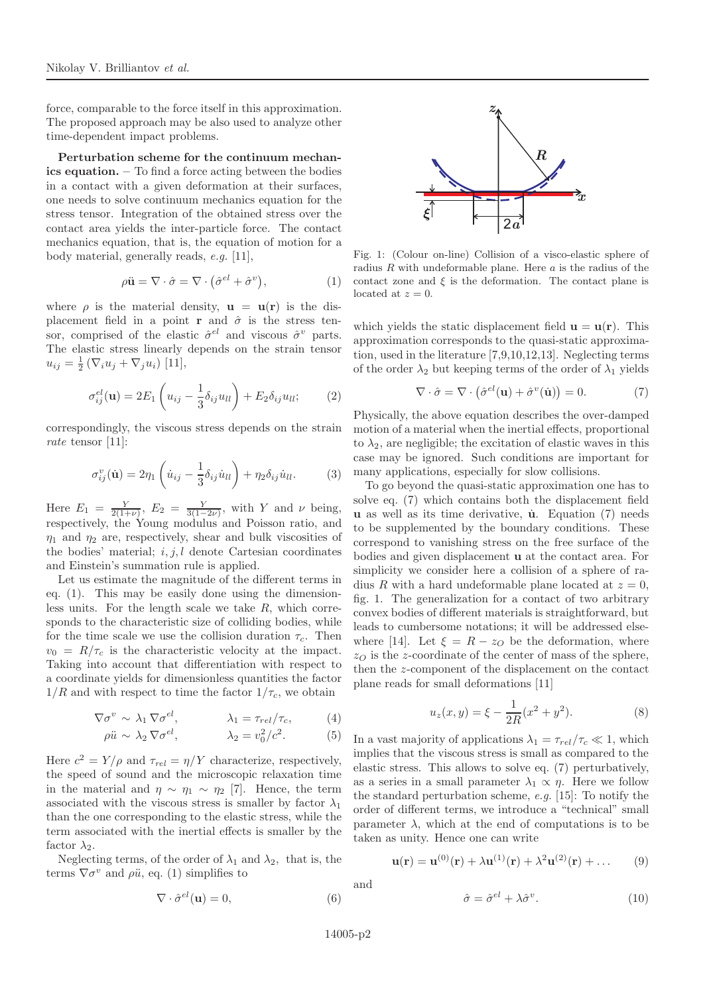force, comparable to the force itself in this approximation. The proposed approach may be also used to analyze other time-dependent impact problems.

Perturbation scheme for the continuum mechanics equation. – To find a force acting between the bodies in a contact with a given deformation at their surfaces, one needs to solve continuum mechanics equation for the stress tensor. Integration of the obtained stress over the contact area yields the inter-particle force. The contact mechanics equation, that is, the equation of motion for a body material, generally reads, e.g. [11],

$$
\rho \ddot{\mathbf{u}} = \nabla \cdot \hat{\sigma} = \nabla \cdot (\hat{\sigma}^{el} + \hat{\sigma}^v), \tag{1}
$$

where  $\rho$  is the material density,  $\mathbf{u} = \mathbf{u}(\mathbf{r})$  is the displacement field in a point **r** and  $\hat{\sigma}$  is the stress tensor, comprised of the elastic  $\hat{\sigma}^{el}$  and viscous  $\hat{\sigma}^v$  parts. The elastic stress linearly depends on the strain tensor  $u_{ij} = \frac{1}{2} (\nabla_i u_j + \nabla_j u_i)$  [11],

$$
\sigma_{ij}^{el}(\mathbf{u}) = 2E_1 \left( u_{ij} - \frac{1}{3} \delta_{ij} u_{ll} \right) + E_2 \delta_{ij} u_{ll};\tag{2}
$$

correspondingly, the viscous stress depends on the strain rate tensor [11]:

$$
\sigma_{ij}^v(\dot{\mathbf{u}}) = 2\eta_1 \left( \dot{u}_{ij} - \frac{1}{3} \delta_{ij} \dot{u}_{ll} \right) + \eta_2 \delta_{ij} \dot{u}_{ll}. \tag{3}
$$

Here  $E_1 = \frac{Y}{2(1+\nu)}, E_2 = \frac{Y}{3(1-2\nu)}, \text{ with } Y \text{ and } \nu \text{ being,}$ respectively, the Young modulus and Poisson ratio, and  $\eta_1$  and  $\eta_2$  are, respectively, shear and bulk viscosities of the bodies' material;  $i, j, l$  denote Cartesian coordinates and Einstein's summation rule is applied.

Let us estimate the magnitude of the different terms in eq. (1). This may be easily done using the dimensionless units. For the length scale we take  $R$ , which corresponds to the characteristic size of colliding bodies, while for the time scale we use the collision duration  $\tau_c$ . Then  $v_0 = R/\tau_c$  is the characteristic velocity at the impact. Taking into account that differentiation with respect to a coordinate yields for dimensionless quantities the factor  $1/R$  and with respect to time the factor  $1/\tau_c$ , we obtain

$$
\nabla \sigma^v \sim \lambda_1 \, \nabla \sigma^{el}, \qquad \lambda_1 = \tau_{rel} / \tau_c, \qquad (4)
$$

$$
\rho \ddot{u} \sim \lambda_2 \nabla \sigma^{el}, \qquad \lambda_2 = v_0^2/c^2. \tag{5}
$$

Here  $c^2 = Y/\rho$  and  $\tau_{rel} = \eta/Y$  characterize, respectively, the speed of sound and the microscopic relaxation time in the material and  $\eta \sim \eta_1 \sim \eta_2$  [7]. Hence, the term associated with the viscous stress is smaller by factor  $\lambda_1$ than the one corresponding to the elastic stress, while the term associated with the inertial effects is smaller by the factor  $\lambda_2$ .

Neglecting terms, of the order of  $\lambda_1$  and  $\lambda_2$ , that is, the terms  $\nabla \sigma^v$  and  $\rho \ddot{u}$ , eq. (1) simplifies to

$$
\nabla \cdot \hat{\sigma}^{el}(\mathbf{u}) = 0,\tag{6}
$$



Fig. 1: (Colour on-line) Collision of a visco-elastic sphere of radius  $R$  with undeformable plane. Here  $a$  is the radius of the contact zone and  $\xi$  is the deformation. The contact plane is located at  $z = 0$ .

which yields the static displacement field  $\mathbf{u} = \mathbf{u}(\mathbf{r})$ . This approximation corresponds to the quasi-static approximation, used in the literature [7,9,10,12,13]. Neglecting terms of the order  $\lambda_2$  but keeping terms of the order of  $\lambda_1$  yields

$$
\nabla \cdot \hat{\sigma} = \nabla \cdot (\hat{\sigma}^{el}(\mathbf{u}) + \hat{\sigma}^{v}(\dot{\mathbf{u}})) = 0.
$$
 (7)

Physically, the above equation describes the over-damped motion of a material when the inertial effects, proportional to  $\lambda_2$ , are negligible; the excitation of elastic waves in this case may be ignored. Such conditions are important for many applications, especially for slow collisions.

To go beyond the quasi-static approximation one has to solve eq. (7) which contains both the displacement field **u** as well as its time derivative,  $\dot{u}$ . Equation (7) needs to be supplemented by the boundary conditions. These correspond to vanishing stress on the free surface of the bodies and given displacement u at the contact area. For simplicity we consider here a collision of a sphere of radius R with a hard undeformable plane located at  $z = 0$ , fig. 1. The generalization for a contact of two arbitrary convex bodies of different materials is straightforward, but leads to cumbersome notations; it will be addressed elsewhere [14]. Let  $\xi = R - z_0$  be the deformation, where  $z<sub>O</sub>$  is the z-coordinate of the center of mass of the sphere, then the z-component of the displacement on the contact plane reads for small deformations [11]

$$
u_z(x,y) = \xi - \frac{1}{2R}(x^2 + y^2).
$$
 (8)

In a vast majority of applications  $\lambda_1 = \tau_{rel}/\tau_c \ll 1$ , which implies that the viscous stress is small as compared to the elastic stress. This allows to solve eq. (7) perturbatively, as a series in a small parameter  $\lambda_1 \propto \eta$ . Here we follow the standard perturbation scheme, e.g. [15]: To notify the order of different terms, we introduce a "technical" small parameter  $\lambda$ , which at the end of computations is to be taken as unity. Hence one can write

$$
\mathbf{u}(\mathbf{r}) = \mathbf{u}^{(0)}(\mathbf{r}) + \lambda \mathbf{u}^{(1)}(\mathbf{r}) + \lambda^2 \mathbf{u}^{(2)}(\mathbf{r}) + \dots \tag{9}
$$

and

$$
\hat{\sigma} = \hat{\sigma}^{el} + \lambda \hat{\sigma}^v. \tag{10}
$$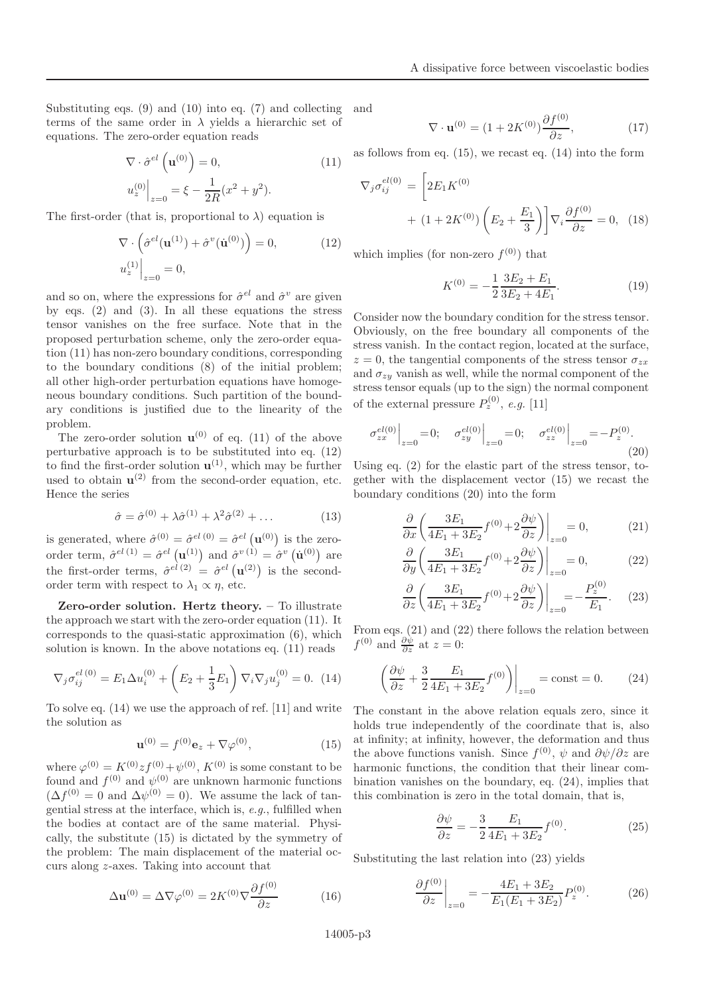Substituting eqs. (9) and (10) into eq. (7) and collecting terms of the same order in  $\lambda$  yields a hierarchic set of equations. The zero-order equation reads

$$
\nabla \cdot \hat{\sigma}^{el} \left( \mathbf{u}^{(0)} \right) = 0, \qquad (11)
$$

$$
u_z^{(0)} \Big|_{z=0} = \xi - \frac{1}{2R} (x^2 + y^2).
$$

The first-order (that is, proportional to  $\lambda$ ) equation is

$$
\nabla \cdot \left( \hat{\sigma}^{el}(\mathbf{u}^{(1)}) + \hat{\sigma}^{v}(\mathbf{u}^{(0)}) \right) = 0, \qquad (12)
$$

$$
u_z^{(1)} \Big|_{z=0} = 0,
$$

and so on, where the expressions for  $\hat{\sigma}^{el}$  and  $\hat{\sigma}^v$  are given by eqs. (2) and (3). In all these equations the stress tensor vanishes on the free surface. Note that in the proposed perturbation scheme, only the zero-order equation (11) has non-zero boundary conditions, corresponding to the boundary conditions (8) of the initial problem; all other high-order perturbation equations have homogeneous boundary conditions. Such partition of the boundary conditions is justified due to the linearity of the problem.

The zero-order solution  $\mathbf{u}^{(0)}$  of eq. (11) of the above perturbative approach is to be substituted into eq. (12) to find the first-order solution  $\mathbf{u}^{(1)}$ , which may be further used to obtain  $\mathbf{u}^{(2)}$  from the second-order equation, etc. Hence the series

$$
\hat{\sigma} = \hat{\sigma}^{(0)} + \lambda \hat{\sigma}^{(1)} + \lambda^2 \hat{\sigma}^{(2)} + \dots \tag{13}
$$

is generated, where  $\hat{\sigma}^{(0)} = \hat{\sigma}^{el \, (0)} = \hat{\sigma}^{el} \, (\mathbf{u}^{(0)})$  is the zeroorder term,  $\hat{\sigma}^{el}$ <sup>(1)</sup> =  $\hat{\sigma}^{el}$  (**u**<sup>(1)</sup>) and  $\hat{\sigma}^{v}$ <sup>(1)</sup> =  $\hat{\sigma}^{v}$  (**u**<sup>(0)</sup>) are the first-order terms,  $\hat{\sigma}^{el}$ <sup>(2)</sup> =  $\hat{\sigma}^{el}$  (**u**<sup>(2)</sup>) is the secondorder term with respect to  $\lambda_1 \propto \eta$ , etc.

Zero-order solution. Hertz theory. – To illustrate the approach we start with the zero-order equation (11). It corresponds to the quasi-static approximation (6), which solution is known. In the above notations eq. (11) reads

$$
\nabla_j \sigma_{ij}^{el \ (0)} = E_1 \Delta u_i^{(0)} + \left( E_2 + \frac{1}{3} E_1 \right) \nabla_i \nabla_j u_j^{(0)} = 0. \tag{14}
$$

To solve eq. (14) we use the approach of ref. [11] and write the solution as

$$
\mathbf{u}^{(0)} = f^{(0)} \mathbf{e}_z + \nabla \varphi^{(0)}, \tag{15}
$$

where  $\varphi^{(0)} = K^{(0)} z f^{(0)} + \psi^{(0)}$ ,  $K^{(0)}$  is some constant to be found and  $f^{(0)}$  and  $\psi^{(0)}$  are unknown harmonic functions  $(\Delta f^{(0)} = 0$  and  $\Delta \psi^{(0)} = 0)$ . We assume the lack of tangential stress at the interface, which is,  $e.g.,$  fulfilled when the bodies at contact are of the same material. Physically, the substitute (15) is dictated by the symmetry of the problem: The main displacement of the material occurs along z-axes. Taking into account that

$$
\Delta \mathbf{u}^{(0)} = \Delta \nabla \varphi^{(0)} = 2K^{(0)} \nabla \frac{\partial f^{(0)}}{\partial z}
$$
 (16)

and

$$
\nabla \cdot \mathbf{u}^{(0)} = (1 + 2K^{(0)}) \frac{\partial f^{(0)}}{\partial z},\tag{17}
$$

as follows from eq. (15), we recast eq. (14) into the form

$$
\nabla_j \sigma_{ij}^{el(0)} = \left[ 2E_1 K^{(0)} + (1 + 2K^{(0)}) \left( E_2 + \frac{E_1}{3} \right) \right] \nabla_i \frac{\partial f^{(0)}}{\partial z} = 0, \quad (18)
$$

which implies (for non-zero  $f^{(0)}$ ) that

$$
K^{(0)} = -\frac{1}{2} \frac{3E_2 + E_1}{3E_2 + 4E_1}.
$$
 (19)

Consider now the boundary condition for the stress tensor. Obviously, on the free boundary all components of the stress vanish. In the contact region, located at the surface,  $z = 0$ , the tangential components of the stress tensor  $\sigma_{zx}$ and  $\sigma_{zu}$  vanish as well, while the normal component of the stress tensor equals (up to the sign) the normal component of the external pressure  $P_z^{(0)}$ , e.g. [11]

$$
\sigma_{zx}^{el(0)}\Big|_{z=0} = 0; \quad \sigma_{zy}^{el(0)}\Big|_{z=0} = 0; \quad \sigma_{zz}^{el(0)}\Big|_{z=0} = -P_z^{(0)}.
$$
\n(20)

Using eq. (2) for the elastic part of the stress tensor, together with the displacement vector (15) we recast the boundary conditions (20) into the form

$$
\frac{\partial}{\partial x} \left( \frac{3E_1}{4E_1 + 3E_2} f^{(0)} + 2 \frac{\partial \psi}{\partial z} \right) \Big|_{z=0} = 0, \tag{21}
$$

$$
\frac{\partial}{\partial y} \left( \frac{3E_1}{4E_1 + 3E_2} f^{(0)} + 2 \frac{\partial \psi}{\partial z} \right) \Big|_{z=0} = 0, \tag{22}
$$

$$
\frac{\partial}{\partial z} \left( \frac{3E_1}{4E_1 + 3E_2} f^{(0)} + 2 \frac{\partial \psi}{\partial z} \right) \Big|_{z=0} = -\frac{P_z^{(0)}}{E_1}.
$$
 (23)

From eqs. (21) and (22) there follows the relation between  $f^{(0)}$  and  $\frac{\partial \psi}{\partial z}$  at  $z = 0$ :

$$
\left. \left( \frac{\partial \psi}{\partial z} + \frac{3}{2} \frac{E_1}{4E_1 + 3E_2} f^{(0)} \right) \right|_{z=0} = \text{const} = 0. \tag{24}
$$

The constant in the above relation equals zero, since it holds true independently of the coordinate that is, also at infinity; at infinity, however, the deformation and thus the above functions vanish. Since  $f^{(0)}$ ,  $\psi$  and  $\partial \psi / \partial z$  are harmonic functions, the condition that their linear combination vanishes on the boundary, eq. (24), implies that this combination is zero in the total domain, that is,

$$
\frac{\partial \psi}{\partial z} = -\frac{3}{2} \frac{E_1}{4E_1 + 3E_2} f^{(0)}.
$$
 (25)

Substituting the last relation into (23) yields

$$
\left. \frac{\partial f^{(0)}}{\partial z} \right|_{z=0} = -\frac{4E_1 + 3E_2}{E_1(E_1 + 3E_2)} P_z^{(0)}.\tag{26}
$$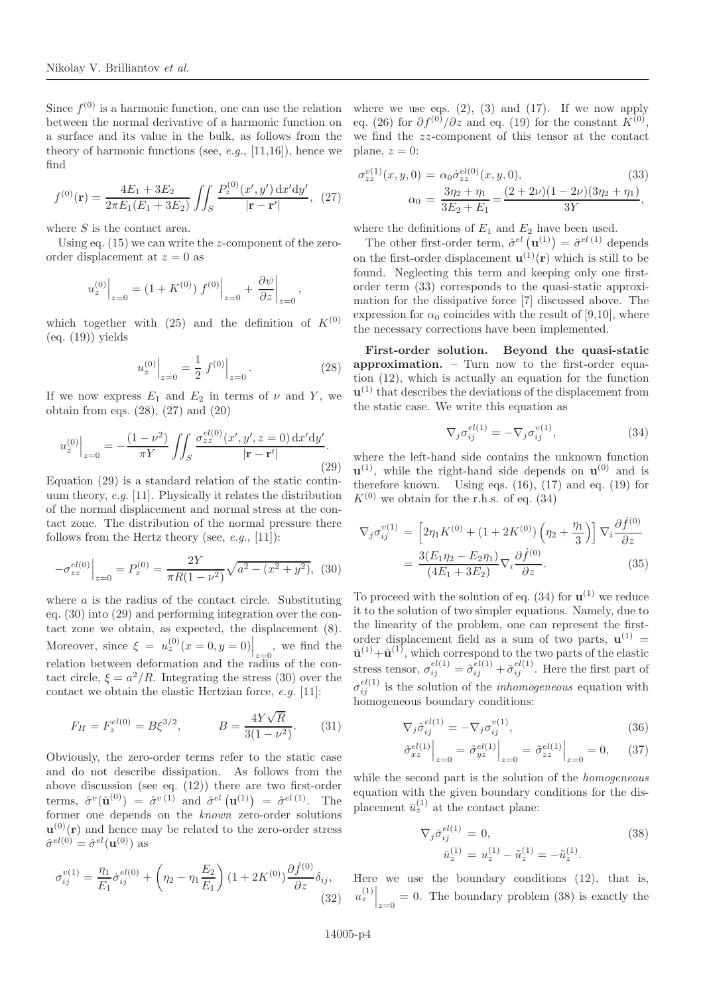Since  $f^{(0)}$  is a harmonic function, one can use the relation between the normal derivative of a harmonic function on a surface and its value in the bulk, as follows from the theory of harmonic functions (see,  $e.g., [11,16]$ ), hence we find

$$
f^{(0)}(\mathbf{r}) = \frac{4E_1 + 3E_2}{2\pi E_1(E_1 + 3E_2)} \iint_S \frac{P_z^{(0)}(x', y') \, dx' dy'}{|\mathbf{r} - \mathbf{r}'|}, \tag{27}
$$

where  $S$  is the contact area.

Using eq.  $(15)$  we can write the z-component of the zeroorder displacement at  $z = 0$  as

$$
u_z^{(0)}\Big|_{z=0} = (1 + K^{(0)}) f^{(0)}\Big|_{z=0} + \frac{\partial \psi}{\partial z}\Big|_{z=0},
$$

which together with (25) and the definition of  $K^{(0)}$  $(eq. (19))$  yields

$$
u_z^{(0)}\Big|_{z=0} = \frac{1}{2} f^{(0)}\Big|_{z=0}.
$$
 (28)

If we now express  $E_1$  and  $E_2$  in terms of  $\nu$  and Y, we obtain from eqs. (28), (27) and (20)

$$
u_z^{(0)}\Big|_{z=0} = -\frac{(1-\nu^2)}{\pi Y} \iiint_S \frac{\sigma_{zz}^{el(0)}(x', y', z=0) \, dx'dy'}{|\mathbf{r} - \mathbf{r}'|}.
$$
\n(29)

Equation (29) is a standard relation of the static continuum theory, e.g. [11]. Physically it relates the distribution of the normal displacement and normal stress at the contact zone. The distribution of the normal pressure there follows from the Hertz theory (see,  $e.g., [11]$ ):

$$
-\sigma_{zz}^{el(0)}\Big|_{z=0} = P_z^{(0)} = \frac{2Y}{\pi R(1-\nu^2)}\sqrt{a^2 - (x^2 + y^2)},\tag{30}
$$

where  $a$  is the radius of the contact circle. Substituting eq. (30) into (29) and performing integration over the contact zone we obtain, as expected, the displacement (8). Moreover, since  $\xi = u_z^{(0)}(x=0, y=0) \Big|_{z=0}$ , we find the relation between deformation and the radius of the contact circle,  $\xi = a^2/R$ . Integrating the stress (30) over the contact we obtain the elastic Hertzian force, e.g. [11]:

$$
F_H = F_z^{el(0)} = B\xi^{3/2}, \qquad B = \frac{4Y\sqrt{R}}{3(1 - \nu^2)}.
$$
 (31)

Obviously, the zero-order terms refer to the static case and do not describe dissipation. As follows from the above discussion (see eq. (12)) there are two first-order terms,  $\hat{\sigma}^v(\dot{\mathbf{u}}^{(0)}) = \hat{\sigma}^{v(1)}$  and  $\hat{\sigma}^{el}(\mathbf{u}^{(1)}) = \hat{\sigma}^{el(1)}$ . The former one depends on the known zero-order solutions  $\mathbf{u}^{(0)}(\mathbf{r})$  and hence may be related to the zero-order stress  $\hat{\sigma}^{el(0)} = \hat{\sigma}^{el}(\mathbf{u}^{(0)})$  as

$$
\sigma_{ij}^{v(1)} = \frac{\eta_1}{E_1} \dot{\sigma}_{ij}^{el(0)} + \left(\eta_2 - \eta_1 \frac{E_2}{E_1}\right) (1 + 2K^{(0)}) \frac{\partial \dot{f}^{(0)}}{\partial z} \delta_{ij},\tag{32}
$$

where we use eqs.  $(2)$ ,  $(3)$  and  $(17)$ . If we now apply eq. (26) for  $\partial f^{(0)}/\partial z$  and eq. (19) for the constant  $K^{(0)}$ , we find the zz-component of this tensor at the contact plane,  $z = 0$ :

$$
\sigma_{zz}^{v(1)}(x, y, 0) = \alpha_0 \dot{\sigma}_{zz}^{el(0)}(x, y, 0),
$$
\n
$$
\alpha_0 = \frac{3\eta_2 + \eta_1}{3E_2 + E_1} = \frac{(2 + 2\nu)(1 - 2\nu)(3\eta_2 + \eta_1)}{3Y},
$$
\n(33)

where the definitions of  $E_1$  and  $E_2$  have been used.

The other first-order term,  $\hat{\sigma}^{el}(\mathbf{u}^{(1)}) = \hat{\sigma}^{el}{}^{(1)}$  depends on the first-order displacement  $\mathbf{u}^{(1)}(\mathbf{r})$  which is still to be found. Neglecting this term and keeping only one firstorder term (33) corresponds to the quasi-static approximation for the dissipative force [7] discussed above. The expression for  $\alpha_0$  coincides with the result of [9,10], where the necessary corrections have been implemented.

First-order solution. Beyond the quasi-static approximation. – Turn now to the first-order equation (12), which is actually an equation for the function  $\mathbf{u}^{(1)}$  that describes the deviations of the displacement from the static case. We write this equation as

$$
\nabla_j \sigma_{ij}^{el(1)} = -\nabla_j \sigma_{ij}^{v(1)},\tag{34}
$$

where the left-hand side contains the unknown function  $\mathbf{u}^{(1)}$ , while the right-hand side depends on  $\mathbf{u}^{(0)}$  and is therefore known. Using eqs.  $(16)$ ,  $(17)$  and eq.  $(19)$  for  $K^{(0)}$  we obtain for the r.h.s. of eq. (34)

$$
\nabla_j \sigma_{ij}^{v(1)} = \left[ 2\eta_1 K^{(0)} + (1 + 2K^{(0)}) \left( \eta_2 + \frac{\eta_1}{3} \right) \right] \nabla_i \frac{\partial \dot{f}^{(0)}}{\partial z}
$$

$$
= \frac{3(E_1 \eta_2 - E_2 \eta_1)}{(4E_1 + 3E_2)} \nabla_i \frac{\partial \dot{f}^{(0)}}{\partial z}.
$$
(35)

To proceed with the solution of eq.  $(34)$  for  $\mathbf{u}^{(1)}$  we reduce it to the solution of two simpler equations. Namely, due to the linearity of the problem, one can represent the firstorder displacement field as a sum of two parts,  $\mathbf{u}^{(1)}$  =  $\bar{\mathbf{u}}^{(1)} + \tilde{\mathbf{u}}^{(1)}$ , which correspond to the two parts of the elastic stress tensor,  $\sigma_{ij}^{el(1)} = \tilde{\sigma}_{ij}^{el(1)} + \bar{\sigma}_{ij}^{el(1)}$ . Here the first part of  $\sigma_{ij}^{el(1)}$  is the solution of the *inhomogeneous* equation with homogeneous boundary conditions:

$$
\nabla_j \tilde{\sigma}_{ij}^{el(1)} = -\nabla_j \sigma_{ij}^{v(1)},\tag{36}
$$

$$
\left. \tilde{\sigma}_{xz}^{el(1)} \right|_{z=0} = \left. \tilde{\sigma}_{yz}^{el(1)} \right|_{z=0} = \left. \tilde{\sigma}_{zz}^{el(1)} \right|_{z=0} = 0, \quad (37)
$$

while the second part is the solution of the *homogeneous* equation with the given boundary conditions for the displacement  $\bar{u}_z^{(1)}$  at the contact plane:

$$
\nabla_j \bar{\sigma}_{ij}^{el(1)} = 0,
$$
\n
$$
\bar{u}_z^{(1)} = u_z^{(1)} - \tilde{u}_z^{(1)} = -\tilde{u}_z^{(1)}.
$$
\n(38)

Here we use the boundary conditions (12), that is,  $u_z^{(1)}\Big|_{z=0} = 0$ . The boundary problem (38) is exactly the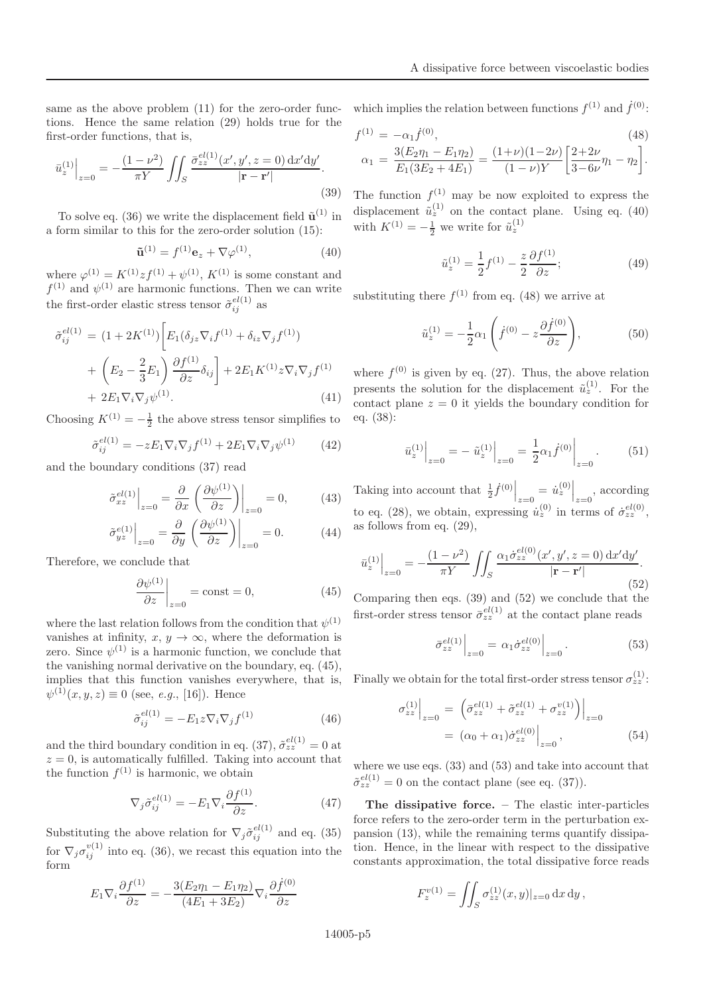same as the above problem (11) for the zero-order functions. Hence the same relation (29) holds true for the first-order functions, that is,

$$
\bar{u}_z^{(1)}\Big|_{z=0} = -\frac{(1-\nu^2)}{\pi Y} \iint_S \frac{\bar{\sigma}_{zz}^{el(1)}(x', y', z=0) \, dx' dy'}{|{\bf r} - {\bf r}'|}.
$$
\n(39)

To solve eq. (36) we write the displacement field  $\tilde{\mathbf{u}}^{(1)}$  in a form similar to this for the zero-order solution (15):

$$
\tilde{\mathbf{u}}^{(1)} = f^{(1)} \mathbf{e}_z + \nabla \varphi^{(1)}, \tag{40}
$$

where  $\varphi^{(1)} = K^{(1)} z f^{(1)} + \psi^{(1)}$ ,  $K^{(1)}$  is some constant and  $f^{(1)}$  and  $\psi^{(1)}$  are harmonic functions. Then we can write the first-order elastic stress tensor  $\tilde{\sigma}_{ij}^{el(1)}$  as

$$
\tilde{\sigma}_{ij}^{el(1)} = (1 + 2K^{(1)}) \left[ E_1(\delta_{jz} \nabla_i f^{(1)} + \delta_{iz} \nabla_j f^{(1)}) + \left( E_2 - \frac{2}{3} E_1 \right) \frac{\partial f^{(1)}}{\partial z} \delta_{ij} \right] + 2 E_1 K^{(1)} z \nabla_i \nabla_j f^{(1)} + 2 E_1 \nabla_i \nabla_j \psi^{(1)}.
$$
\n(41)

Choosing  $K^{(1)} = -\frac{1}{2}$  the above stress tensor simplifies to

$$
\tilde{\sigma}_{ij}^{el(1)} = -z E_1 \nabla_i \nabla_j f^{(1)} + 2 E_1 \nabla_i \nabla_j \psi^{(1)} \qquad (42)
$$

and the boundary conditions (37) read

$$
\left. \tilde{\sigma}_{xz}^{el(1)} \right|_{z=0} = \frac{\partial}{\partial x} \left. \left( \frac{\partial \psi^{(1)}}{\partial z} \right) \right|_{z=0} = 0, \quad (43)
$$

$$
\tilde{\sigma}_{yz}^{e(1)}\Big|_{z=0} = \frac{\partial}{\partial y} \left(\frac{\partial \psi^{(1)}}{\partial z}\right)\Big|_{z=0} = 0.
$$
 (44)

Therefore, we conclude that

$$
\left. \frac{\partial \psi^{(1)}}{\partial z} \right|_{z=0} = \text{const} = 0,\tag{45}
$$

where the last relation follows from the condition that  $\psi^{(1)}$ vanishes at infinity,  $x, y \rightarrow \infty$ , where the deformation is zero. Since  $\psi^{(1)}$  is a harmonic function, we conclude that the vanishing normal derivative on the boundary, eq. (45), implies that this function vanishes everywhere, that is,  $\psi^{(1)}(x, y, z) \equiv 0$  (see, *e.g.*, [16]). Hence

$$
\tilde{\sigma}_{ij}^{el(1)} = -E_1 z \nabla_i \nabla_j f^{(1)} \tag{46}
$$

and the third boundary condition in eq. (37),  $\tilde{\sigma}_{zz}^{el(1)} = 0$  at  $z = 0$ , is automatically fulfilled. Taking into account that the function  $f^{(1)}$  is harmonic, we obtain

$$
\nabla_j \tilde{\sigma}_{ij}^{el(1)} = -E_1 \nabla_i \frac{\partial f^{(1)}}{\partial z}.
$$
 (47)

Substituting the above relation for  $\nabla_j \tilde{\sigma}_{ij}^{el(1)}$  and eq. (35) for  $\nabla_j \sigma_{ij}^{v(1)}$  into eq. (36), we recast this equation into the form

$$
E_1 \nabla_i \frac{\partial f^{(1)}}{\partial z} = -\frac{3(E_2 \eta_1 - E_1 \eta_2)}{(4E_1 + 3E_2)} \nabla_i \frac{\partial f^{(0)}}{\partial z}
$$

which implies the relation between functions  $f^{(1)}$  and  $\dot{f}^{(0)}$ :

$$
f^{(1)} = -\alpha_1 \dot{f}^{(0)},\tag{48}
$$

$$
\alpha_1 = \frac{3(E_2\eta_1 - E_1\eta_2)}{E_1(3E_2 + 4E_1)} = \frac{(1+\nu)(1-2\nu)}{(1-\nu)Y} \left[\frac{2+2\nu}{3-6\nu}\eta_1 - \eta_2\right].
$$

The function  $f^{(1)}$  may be now exploited to express the displacement  $\tilde{u}_z^{(1)}$  on the contact plane. Using eq. (40) with  $K^{(1)} = -\frac{1}{2}$  we write for  $\tilde{u}_z^{(1)}$ 

$$
\tilde{u}_z^{(1)} = \frac{1}{2} f^{(1)} - \frac{z}{2} \frac{\partial f^{(1)}}{\partial z};\tag{49}
$$

substituting there  $f^{(1)}$  from eq. (48) we arrive at

$$
\tilde{u}_z^{(1)} = -\frac{1}{2}\alpha_1 \left(\dot{f}^{(0)} - z\frac{\partial \dot{f}^{(0)}}{\partial z}\right),\tag{50}
$$

where  $f^{(0)}$  is given by eq. (27). Thus, the above relation presents the solution for the displacement  $\tilde{u}_z^{(1)}$ . For the contact plane  $z = 0$  it yields the boundary condition for eq. (38):

$$
\bar{u}_z^{(1)}\Big|_{z=0} = -\tilde{u}_z^{(1)}\Big|_{z=0} = \frac{1}{2}\alpha_1 \dot{f}^{(0)}\Big|_{z=0}.
$$
 (51)

Taking into account that  $\frac{1}{2} \dot{f}^{(0)}\Big|_{z=0} = \dot{u}_z^{(0)}\Big|_{z=0}$ , according to eq. (28), we obtain, expressing  $\dot{u}_z^{(0)}$  in terms of  $\dot{\sigma}_{zz}^{el(0)}$ , as follows from eq. (29),

$$
\bar{u}_z^{(1)}\Big|_{z=0} = -\frac{(1-\nu^2)}{\pi Y} \iiint_S \frac{\alpha_1 \dot{\sigma}_{zz}^{el(0)}(x', y', z=0) \, dx' dy'}{|\mathbf{r} - \mathbf{r}'|}.
$$
\n(52)

Comparing then eqs. (39) and (52) we conclude that the first-order stress tensor  $\bar{\sigma}_{zz}^{el(1)}$  at the contact plane reads

$$
\bar{\sigma}_{zz}^{el(1)}\Big|_{z=0} = \alpha_1 \dot{\sigma}_{zz}^{el(0)}\Big|_{z=0}.
$$
\n(53)

Finally we obtain for the total first-order stress tensor  $\sigma_{zz}^{(1)}$ :

$$
\sigma_{zz}^{(1)}\Big|_{z=0} = \left(\bar{\sigma}_{zz}^{el(1)} + \tilde{\sigma}_{zz}^{el(1)} + \sigma_{zz}^{v(1)}\right)\Big|_{z=0}
$$
  
=  $(\alpha_0 + \alpha_1)\dot{\sigma}_{zz}^{el(0)}\Big|_{z=0}$ , (54)

where we use eqs. (33) and (53) and take into account that  $\tilde{\sigma}_{zz}^{el(1)} = 0$  on the contact plane (see eq. (37)).

The dissipative force. – The elastic inter-particles force refers to the zero-order term in the perturbation expansion (13), while the remaining terms quantify dissipation. Hence, in the linear with respect to the dissipative constants approximation, the total dissipative force reads

$$
F_z^{\nu(1)} = \iint_S \sigma_{zz}^{(1)}(x, y)|_{z=0} \, dx \, dy \,,
$$